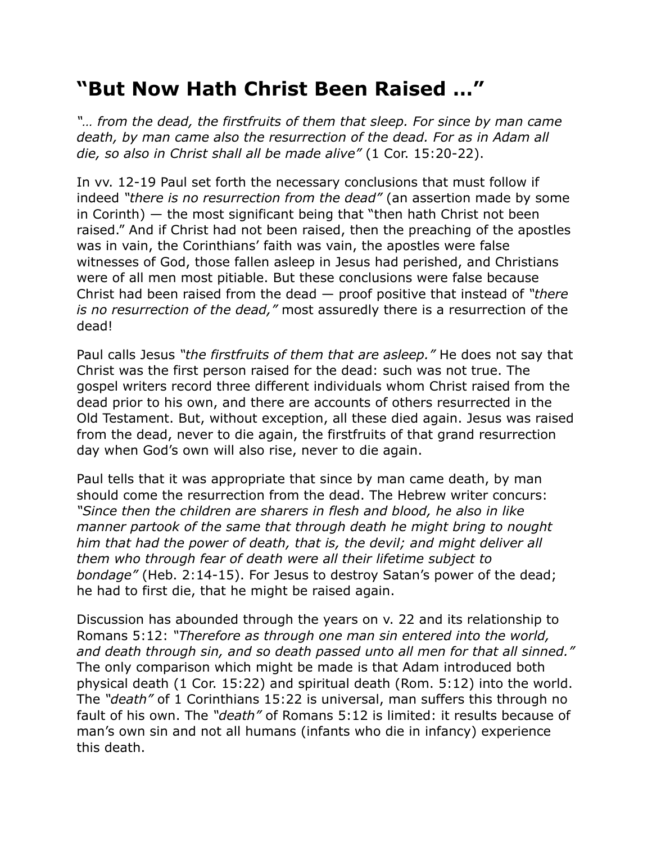## **"But Now Hath Christ Been Raised …"**

*"… from the dead, the firstfruits of them that sleep. For since by man came death, by man came also the resurrection of the dead. For as in Adam all die, so also in Christ shall all be made alive"* (1 Cor. 15:20-22).

In vv. 12-19 Paul set forth the necessary conclusions that must follow if indeed *"there is no resurrection from the dead"* (an assertion made by some in Corinth) — the most significant being that "then hath Christ not been raised." And if Christ had not been raised, then the preaching of the apostles was in vain, the Corinthians' faith was vain, the apostles were false witnesses of God, those fallen asleep in Jesus had perished, and Christians were of all men most pitiable. But these conclusions were false because Christ had been raised from the dead — proof positive that instead of *"there is no resurrection of the dead,"* most assuredly there is a resurrection of the dead!

Paul calls Jesus *"the firstfruits of them that are asleep."* He does not say that Christ was the first person raised for the dead: such was not true. The gospel writers record three different individuals whom Christ raised from the dead prior to his own, and there are accounts of others resurrected in the Old Testament. But, without exception, all these died again. Jesus was raised from the dead, never to die again, the firstfruits of that grand resurrection day when God's own will also rise, never to die again.

Paul tells that it was appropriate that since by man came death, by man should come the resurrection from the dead. The Hebrew writer concurs: *"Since then the children are sharers in flesh and blood, he also in like manner partook of the same that through death he might bring to nought him that had the power of death, that is, the devil; and might deliver all them who through fear of death were all their lifetime subject to bondage"* (Heb. 2:14-15). For Jesus to destroy Satan's power of the dead; he had to first die, that he might be raised again.

Discussion has abounded through the years on v. 22 and its relationship to Romans 5:12: *"Therefore as through one man sin entered into the world, and death through sin, and so death passed unto all men for that all sinned."* The only comparison which might be made is that Adam introduced both physical death (1 Cor. 15:22) and spiritual death (Rom. 5:12) into the world. The *"death"* of 1 Corinthians 15:22 is universal, man suffers this through no fault of his own. The *"death"* of Romans 5:12 is limited: it results because of man's own sin and not all humans (infants who die in infancy) experience this death.